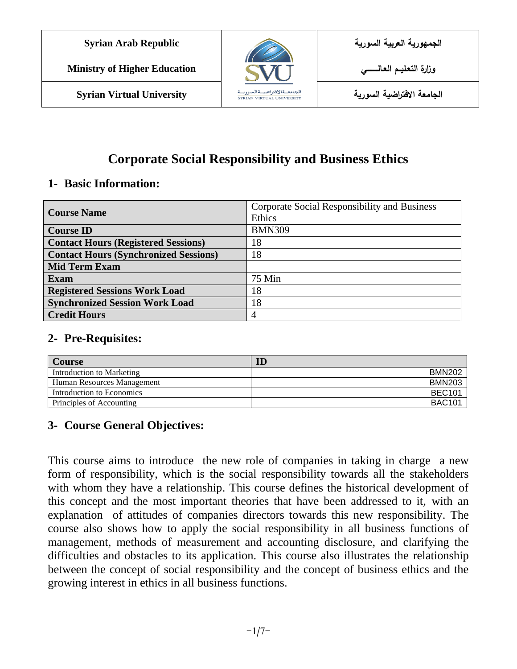



**الجامعة االفتراضية السورية University Virtual Syrian**

## **Corporate Social Responsibility and Business Ethics**

### **1- Basic Information:**

| <b>Course Name</b>                           | Corporate Social Responsibility and Business |  |  |  |
|----------------------------------------------|----------------------------------------------|--|--|--|
|                                              | Ethics                                       |  |  |  |
| <b>Course ID</b>                             | <b>BMN309</b>                                |  |  |  |
| <b>Contact Hours (Registered Sessions)</b>   | 18                                           |  |  |  |
| <b>Contact Hours (Synchronized Sessions)</b> | 18                                           |  |  |  |
| <b>Mid Term Exam</b>                         |                                              |  |  |  |
| <b>Exam</b>                                  | 75 Min                                       |  |  |  |
| <b>Registered Sessions Work Load</b>         | 18                                           |  |  |  |
| <b>Synchronized Session Work Load</b>        | 18                                           |  |  |  |
| <b>Credit Hours</b>                          | 4                                            |  |  |  |

#### **2- Pre-Requisites:**

| <b>Course</b>              | $\rm I\hspace{-.1em}D$ |
|----------------------------|------------------------|
| Introduction to Marketing  | <b>BMN202</b>          |
| Human Resources Management | <b>BMN203</b>          |
| Introduction to Economics  | <b>BEC101</b>          |
| Principles of Accounting   | <b>BAC101</b>          |

## **3- Course General Objectives:**

This course aims to introduce the new role of companies in taking in charge a new form of responsibility, which is the social responsibility towards all the stakeholders with whom they have a relationship. This course defines the historical development of this concept and the most important theories that have been addressed to it, with an explanation of attitudes of companies directors towards this new responsibility. The course also shows how to apply the social responsibility in all business functions of management, methods of measurement and accounting disclosure, and clarifying the difficulties and obstacles to its application. This course also illustrates the relationship between the concept of social responsibility and the concept of business ethics and the growing interest in ethics in all business functions.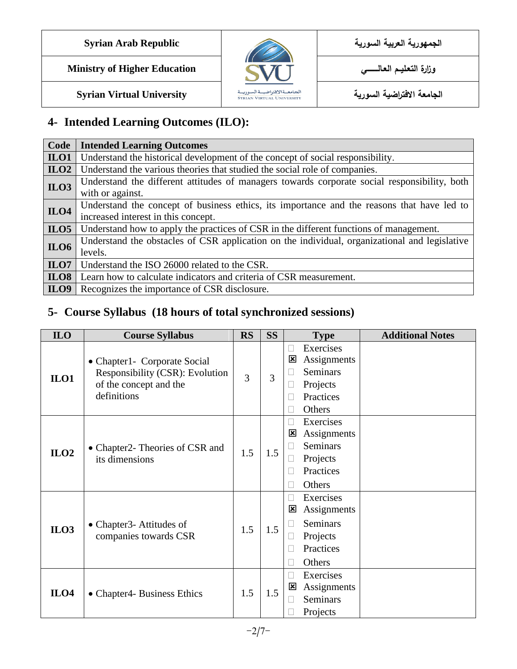



**الجامعة االفتراضية السورية University Virtual Syrian**

# **4- Intended Learning Outcomes (ILO):**

| Code                                                                                                      | <b>Intended Learning Outcomes</b>                                                             |  |  |
|-----------------------------------------------------------------------------------------------------------|-----------------------------------------------------------------------------------------------|--|--|
| ILO1                                                                                                      | Understand the historical development of the concept of social responsibility.                |  |  |
| ILO2                                                                                                      | Understand the various theories that studied the social role of companies.                    |  |  |
| ILO3                                                                                                      | Understand the different attitudes of managers towards corporate social responsibility, both  |  |  |
|                                                                                                           | with or against.                                                                              |  |  |
| Understand the concept of business ethics, its importance and the reasons that have led to<br><b>ILO4</b> |                                                                                               |  |  |
|                                                                                                           | increased interest in this concept.                                                           |  |  |
| ILO5                                                                                                      | Understand how to apply the practices of CSR in the different functions of management.        |  |  |
| <b>ILO6</b>                                                                                               | Understand the obstacles of CSR application on the individual, organizational and legislative |  |  |
|                                                                                                           | levels.                                                                                       |  |  |
| ILO7                                                                                                      | Understand the ISO 26000 related to the CSR.                                                  |  |  |
| ILO8                                                                                                      | Learn how to calculate indicators and criteria of CSR measurement.                            |  |  |
| ILO9                                                                                                      | Recognizes the importance of CSR disclosure.                                                  |  |  |

## **5- Course Syllabus (18 hours of total synchronized sessions)**

| <b>ILO</b>       | <b>Course Syllabus</b>                                                                                   | <b>RS</b> | <b>SS</b> | <b>Type</b>                                                                                                     | <b>Additional Notes</b> |
|------------------|----------------------------------------------------------------------------------------------------------|-----------|-----------|-----------------------------------------------------------------------------------------------------------------|-------------------------|
| $II 01$          | • Chapter1- Corporate Social<br>Responsibility (CSR): Evolution<br>of the concept and the<br>definitions | 3         | 3         | Exercises<br>Assignments<br>図<br>Seminars<br>Projects<br>Practices<br>Others                                    |                         |
| ILO2             | • Chapter2- Theories of CSR and<br>its dimensions                                                        | 1.5       | 1.5       | Exercises<br>Assignments<br>図<br><b>Seminars</b><br>Projects<br>Practices<br>Others                             |                         |
| ILO3             | • Chapter3- Attitudes of<br>companies towards CSR                                                        | 1.5       | 1.5       | Exercises<br>$\overline{\phantom{a}}$<br>図<br>Assignments<br><b>Seminars</b><br>Projects<br>Practices<br>Others |                         |
| ILO <sub>4</sub> | • Chapter4- Business Ethics                                                                              | 1.5       | 1.5       | Exercises<br>$\Box$<br>Assignments<br>$\vert x \vert$<br><b>Seminars</b><br>Projects                            |                         |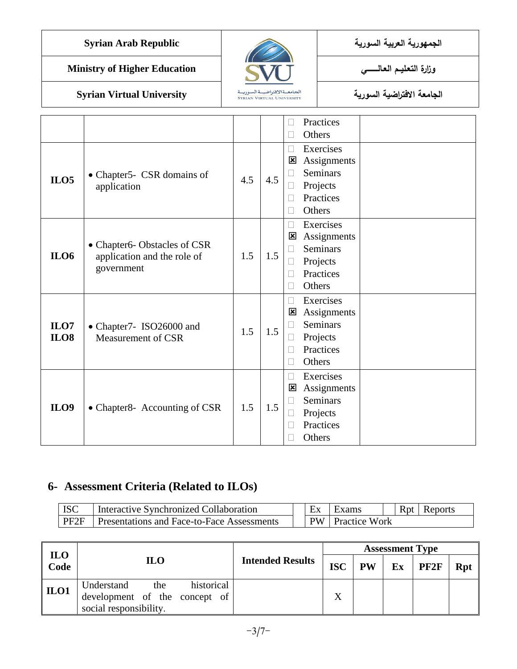|  | الجمهورية العربية السورية |
|--|---------------------------|
|  |                           |

**Syrian Arab Republic** 



**الجامعة االفتراضية السورية University Virtual Syrian**

|                     |                                                                          |     |     | Practices                                                                                                           |
|---------------------|--------------------------------------------------------------------------|-----|-----|---------------------------------------------------------------------------------------------------------------------|
|                     |                                                                          |     |     | Others                                                                                                              |
| ILO5                | • Chapter5- CSR domains of<br>application                                | 4.5 | 4.5 | Exercises<br>$\Box$<br>Assignments<br>⊠<br><b>Seminars</b><br>$\Box$<br>Projects<br>Practices<br>Others             |
| <b>ILO6</b>         | • Chapter6-Obstacles of CSR<br>application and the role of<br>government | 1.5 | 1.5 | Exercises<br>Assignments<br>図<br><b>Seminars</b><br>Projects<br>$\vert \ \ \vert$<br>Practices<br>Others            |
| ILO7<br><b>ILO8</b> | • Chapter7- ISO26000 and<br>Measurement of CSR                           | 1.5 | 1.5 | Exercises<br>$\Box$<br>Assignments<br>$\mathbf{\overline{x}}$<br><b>Seminars</b><br>Projects<br>Practices<br>Others |
| ILO9                | • Chapter 8- Accounting of CSR                                           | 1.5 | 1.5 | Exercises<br>$\Box$<br>Assignments<br>⊠<br><b>Seminars</b><br>Projects<br>Practices<br>Others                       |

## **6- Assessment Criteria (Related to ILOs)**

| <b>ISC</b> | Interactive Synchronized Collaboration            |  |           | Exams                | Rpt | Reports |
|------------|---------------------------------------------------|--|-----------|----------------------|-----|---------|
| PF2F       | <b>Presentations and Face-to-Face Assessments</b> |  | <b>PW</b> | <b>Practice Work</b> |     |         |

| <b>ILO</b> |                                                                                            |                         | <b>Assessment Type</b> |            |    |                  |     |  |  |  |
|------------|--------------------------------------------------------------------------------------------|-------------------------|------------------------|------------|----|------------------|-----|--|--|--|
| Code       | <b>ILO</b>                                                                                 | <b>Intended Results</b> | <b>ISC</b>             | ${\bf PW}$ | Ex | PF <sub>2F</sub> | Rpt |  |  |  |
| ILO1       | historical<br>Understand<br>the<br>development of the concept of<br>social responsibility. |                         | X                      |            |    |                  |     |  |  |  |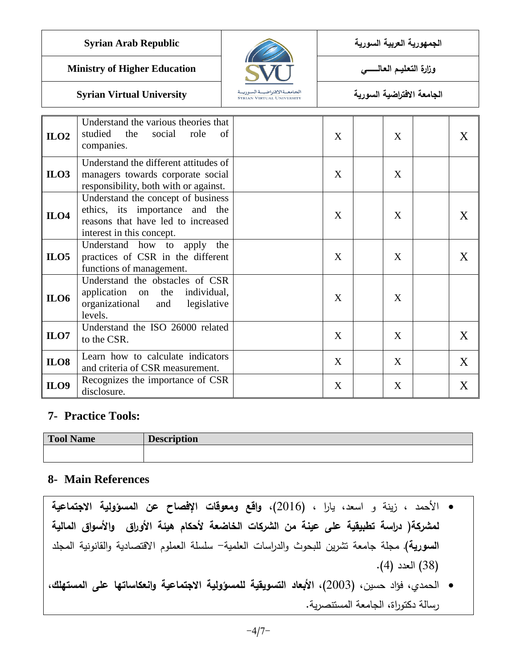**الجمهورية العربية السورية Republic Arab Syrian**

**Ministry of Higher Education العـالـــــــــي التعـميــم وزارة**



**الجامعة االفتراضية السورية University Virtual Syrian**

#### **ILO2** Understand the various theories that studied the social role of companies.  $X \mid X \mid X$ **ILO3** Understand the different attitudes of managers towards corporate social responsibility, both with or against.  $X \mid X$ **ILO4** Understand the concept of business ethics, its importance and the reasons that have led to increased interest in this concept.  $X \mid X \mid X$ **ILO5** Understand how to apply the practices of CSR in the different functions of management.  $X \mid X \mid X$ **ILO6** Understand the obstacles of CSR application on the individual, organizational and legislative levels.  $X \mid X$ **ILO7** Understand the ISO 26000 related to the CSR.  $X \mid X \mid X \mid X \mid X$ **ILO8** Learn how to calculate indicators  $\begin{array}{c|c|c|c|c|c|c|c} \text{A} & \text{A} & \text{B} & \text{B} & \text{B} & \text{B} \\ \text{and criteria of CSR measurement.} & & & & X & & X \\ \end{array}$ **ILO9** Recognizes the importance of CSR disclosure. <sup>X</sup> <sup>X</sup> X

## **7- Practice Tools:**

| <b>Tool Name</b> | <b>Description</b> |
|------------------|--------------------|
|                  |                    |

## **8- Main References**

- األحمد ، زينة و اسعد، يارا ، )2016**(، واقع ومعوقات اإلفصاح عن المسؤولية االجتماعية لمشركة( دراسة تطبيقية عمى عينة من الشركات الخاضعة ألحكام هيئة األوراق واألسواق المالية** ا**لسورية)** مجلة جامعة تشرين للبحوث والدراسات العلمية- سلسلة العملوم الاقتصادية والقانونية المجلد )33( العدد )4(.
- الحمدي، فؤاد حسين، )2003(، **األبعاد التسويقية لممسؤولية االجتماعية وانعكاساتها عمى المستهمك**، رسالة دكتوراة، الجامعة المستنصرية.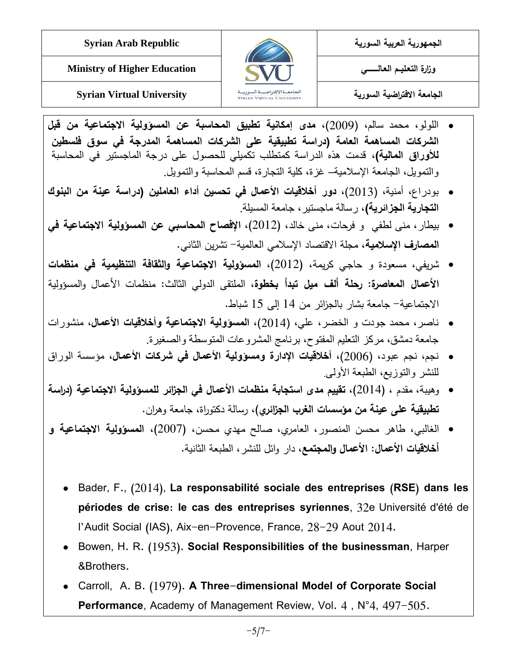



**الجامعة االفتراضية السورية University Virtual Syrian**

- اللولو، محمد سالم، )2002(، **مدى إمكانية تطبيق المحاسبة عن المسؤولية االجتماعية من قبل الشركات المساهمة العامة )دراسة تطبيقية على الشركات المساهمة المدرجة في سوق فلسطين لألوراق المالية(**، قدمت هذه الدراسة كمتطلب تكميلي للحصول على درجة الماجستير في المحاسبة والتمويل، الجامعة اإلسالمية– غزة، كلية التجارة، قسم المحاسبة والتمويل.
- بودراع، أمنية، )2013(، **دور أخالقيات األعمال في تحسين أداء العاملين )دراسة عينة من البنوك التجارية الجزائرية(**، رسالة ماجستير، جامعة المسيلة.
- بيطار، منى لطفي و فرحات، منى خالد، )2012(، **اإلفصاح المحاسبي عن المسؤولية االجتماعية في المصارف اإلسالمية**، مجمة االقتصاد اإلسالمي العالمية- تشرين الثاني.
- شريفي، مسعودة و حاجـي كريمة، )2012(، **المسؤولية االجتماعية والثقافة التنظيمية في منظمات األعمال المعاصرة: رحمة ألف ميل تبدأ بخطوة،** الممتقى الدولي الثالث: منظمات األعمال والمسؤولية االجتماعية- جامعة بشار بالجزائر من 14 إلى 15 شباط.
- ناصر، محمد جودت و الخضر، علي، )2014(، **المسؤولية االجتماعية وأخالقيات األعمال**، منشورات جامعة دمشق، مركز التعليم المفتوح، برنامج المشروعات المتوسطة والصغيرة.
- نجم، نجم عبود، )2006(، **أخالقيات اإلدارة ومسؤولية األعمال في شركات األعمال**، مؤسسة الوراق للنشر والتوزيع، الطبعة األولى.
- وهيبة، مقدم ، (2014)، **تقييم مدى استجابة منظمات الأعمال في الجزا**ئر **للمسؤولية الاجتماعية (دراسة** <mark>تطبيقية على عينة من مؤسسات الغرب الجزائري)</mark>، رسالة دكتوراة، جامعة وهران.
- الغالبي، طاهر محسن المنصور، العامري، صالح مهدي محسن، )2007(**، المسؤولية االجتماعية و أخلاقيات الأعمال: الأعمال والمجتمع**، دار وائل للنشر ، الطبعة الثانية.
	- Bader, F., (2014), **La responsabilité sociale des entreprises (RSE) dans les périodes de crise: le cas des entreprises syriennes**, 32e Université d'été de l'Audit Social (IAS), Aix-en-Provence, France, 28-29 Aout 2014.
	- Bowen, H. R. (1953). **Social Responsibilities of the businessman**, Harper &Brothers.
	- Carroll, A. B. (1979). **A Three-dimensional Model of Corporate Social Performance**, Academy of Management Review, Vol. 4 , N°4, 497-505.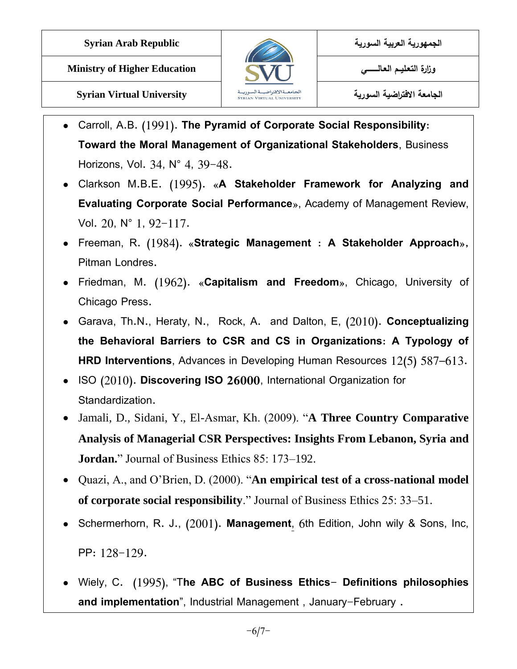



**الجامعة االفتراضية السورية University Virtual Syrian**

- Carroll, A.B. (1991). **The Pyramid of Corporate Social Responsibility: Toward the Moral Management of Organizational Stakeholders**, Business Horizons, Vol. 34, N° 4, 39-48.
- Clarkson M.B.E. (1995). «**A Stakeholder Framework for Analyzing and Evaluating Corporate Social Performance**», Academy of Management Review, Vol. 20, N° 1, 92-117.
- Freeman, R. (1984). «**Strategic Management : A Stakeholder Approach**»**,** Pitman Londres.
- Friedman, M. (1962). «**Capitalism and Freedom**», Chicago, University of Chicago Press.
- Garava, Th.N., Heraty, N., Rock, A. and Dalton, E, (2010). **Conceptualizing the Behavioral Barriers to CSR and CS in Organizations: A Typology of HRD Interventions**, Advances in Developing Human Resources 12(5) 587–613.
- ISO (2010). **Discovering ISO 26000**, International Organization for Standardization.
- Jamali, D., Sidani, Y., El-Asmar, Kh. (2009). "**A Three Country Comparative Analysis of Managerial CSR Perspectives: Insights From Lebanon, Syria and Jordan.**" Journal of Business Ethics 85: 173–192.
- Quazi, A., and O'Brien, D. (2000). "**An empirical test of a cross-national model of corporate social responsibility**." Journal of Business Ethics 25: 33–51.
- Schermerhorn, R. J., (2001). **Management**, 6th Edition, John wily & Sons, Inc, PP: 128-129.
- Wiely, C. (1995), "T**he ABC of Business Ethics- Definitions philosophies and implementation**", Industrial Management , January-February .